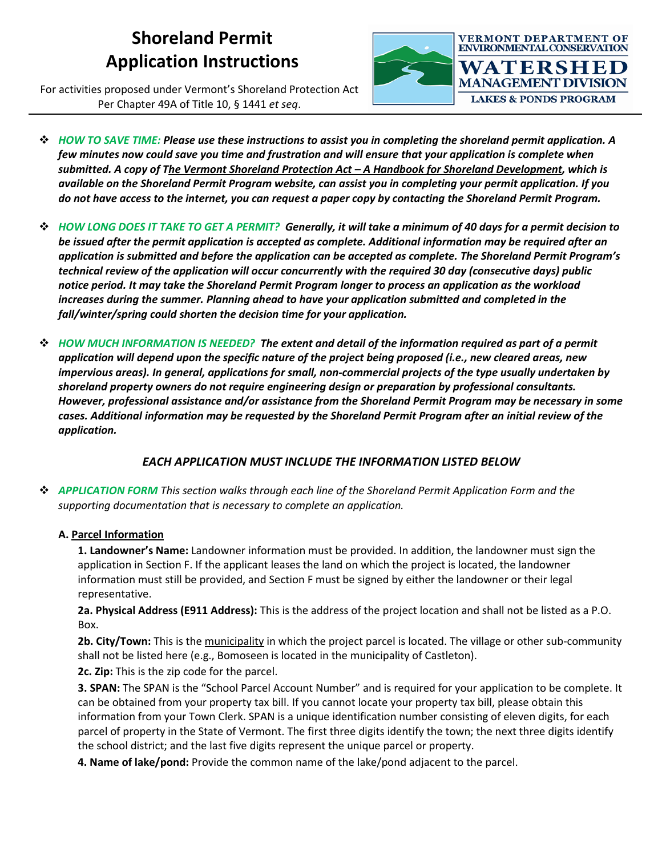# **Shoreland Permit Application Instructions**

For activities proposed under Vermont's Shoreland Protection Act Per Chapter 49A of Title 10, § 1441 *et seq*.



- *HOW TO SAVE TIME: Please use these instructions to assist you in completing the shoreland permit application. A few minutes now could save you time and frustration and will ensure that your application is complete when submitted. A copy of The Vermont Shoreland Protection Act – A Handbook for Shoreland Development, which is available on the Shoreland Permit Program website, can assist you in completing your permit application. If you do not have access to the internet, you can request a paper copy by contacting the Shoreland Permit Program.*
- *HOW LONG DOES IT TAKE TO GET A PERMIT? Generally, it will take a minimum of 40 days for a permit decision to be issued after the permit application is accepted as complete. Additional information may be required after an application is submitted and before the application can be accepted as complete. The Shoreland Permit Program's technical review of the application will occur concurrently with the required 30 day (consecutive days) public notice period. It may take the Shoreland Permit Program longer to process an application as the workload increases during the summer. Planning ahead to have your application submitted and completed in the fall/winter/spring could shorten the decision time for your application.*
- *HOW MUCH INFORMATION IS NEEDED? The extent and detail of the information required as part of a permit application will depend upon the specific nature of the project being proposed (i.e., new cleared areas, new impervious areas). In general, applications for small, non-commercial projects of the type usually undertaken by shoreland property owners do not require engineering design or preparation by professional consultants. However, professional assistance and/or assistance from the Shoreland Permit Program may be necessary in some cases. Additional information may be requested by the Shoreland Permit Program after an initial review of the application.*

## *EACH APPLICATION MUST INCLUDE THE INFORMATION LISTED BELOW*

 *APPLICATION FORM This section walks through each line of the Shoreland Permit Application Form and the supporting documentation that is necessary to complete an application.*

## **A. Parcel Information**

**1. Landowner's Name:** Landowner information must be provided. In addition, the landowner must sign the application in Section F. If the applicant leases the land on which the project is located, the landowner information must still be provided, and Section F must be signed by either the landowner or their legal representative.

**2a. Physical Address (E911 Address):** This is the address of the project location and shall not be listed as a P.O. Box.

**2b. City/Town:** This is the municipality in which the project parcel is located. The village or other sub-community shall not be listed here (e.g., Bomoseen is located in the municipality of Castleton).

**2c. Zip:** This is the zip code for the parcel.

**3. SPAN:** The SPAN is the "School Parcel Account Number" and is required for your application to be complete. It can be obtained from your property tax bill. If you cannot locate your property tax bill, please obtain this information from your Town Clerk. SPAN is a unique identification number consisting of eleven digits, for each parcel of property in the State of Vermont. The first three digits identify the town; the next three digits identify the school district; and the last five digits represent the unique parcel or property.

**4. Name of lake/pond:** Provide the common name of the lake/pond adjacent to the parcel.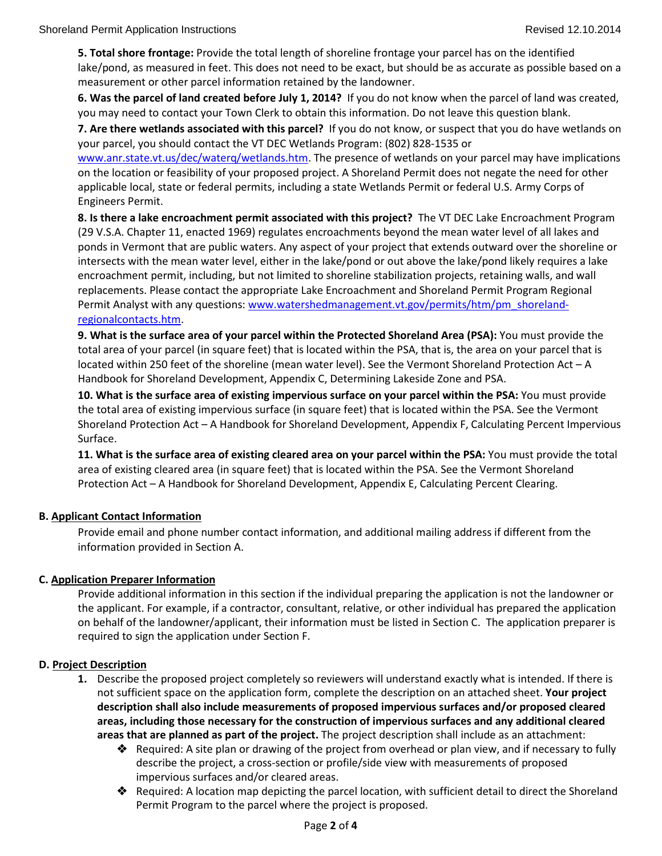**5. Total shore frontage:** Provide the total length of shoreline frontage your parcel has on the identified lake/pond, as measured in feet. This does not need to be exact, but should be as accurate as possible based on a measurement or other parcel information retained by the landowner.

**6. Was the parcel of land created before July 1, 2014?** If you do not know when the parcel of land was created, you may need to contact your Town Clerk to obtain this information. Do not leave this question blank.

**7. Are there wetlands associated with this parcel?** If you do not know, or suspect that you do have wetlands on your parcel, you should contact the VT DEC Wetlands Program: (802) 828-1535 or

[www.anr.state.vt.us/dec/waterq/wetlands.htm.](http://www.anr.state.vt.us/dec/waterq/wetlands.htm) The presence of wetlands on your parcel may have implications on the location or feasibility of your proposed project. A Shoreland Permit does not negate the need for other applicable local, state or federal permits, including a state Wetlands Permit or federal U.S. Army Corps of Engineers Permit.

**8. Is there a lake encroachment permit associated with this project?** The VT DEC Lake Encroachment Program (29 V.S.A. Chapter 11, enacted 1969) regulates encroachments beyond the mean water level of all lakes and ponds in Vermont that are public waters. Any aspect of your project that extends outward over the shoreline or intersects with the mean water level, either in the lake/pond or out above the lake/pond likely requires a lake encroachment permit, including, but not limited to shoreline stabilization projects, retaining walls, and wall replacements. Please contact the appropriate Lake Encroachment and Shoreland Permit Program Regional Permit Analyst with any questions[: www.watershedmanagement.vt.gov/permits/htm/pm\\_shoreland](http://www.watershedmanagement.vt.gov/permits/htm/pm_shoreland-regionalcontacts.htm)[regionalcontacts.htm.](http://www.watershedmanagement.vt.gov/permits/htm/pm_shoreland-regionalcontacts.htm)

**9. What is the surface area of your parcel within the Protected Shoreland Area (PSA):** You must provide the total area of your parcel (in square feet) that is located within the PSA, that is, the area on your parcel that is located within 250 feet of the shoreline (mean water level). See the Vermont Shoreland Protection Act – A Handbook for Shoreland Development, Appendix C, Determining Lakeside Zone and PSA.

**10. What is the surface area of existing impervious surface on your parcel within the PSA:** You must provide the total area of existing impervious surface (in square feet) that is located within the PSA. See the Vermont Shoreland Protection Act – A Handbook for Shoreland Development, Appendix F, Calculating Percent Impervious Surface.

**11. What is the surface area of existing cleared area on your parcel within the PSA:** You must provide the total area of existing cleared area (in square feet) that is located within the PSA. See the Vermont Shoreland Protection Act – A Handbook for Shoreland Development, Appendix E, Calculating Percent Clearing.

## **B. Applicant Contact Information**

Provide email and phone number contact information, and additional mailing address if different from the information provided in Section A.

## **C. Application Preparer Information**

Provide additional information in this section if the individual preparing the application is not the landowner or the applicant. For example, if a contractor, consultant, relative, or other individual has prepared the application on behalf of the landowner/applicant, their information must be listed in Section C. The application preparer is required to sign the application under Section F.

## **D. Project Description**

- **1.** Describe the proposed project completely so reviewers will understand exactly what is intended. If there is not sufficient space on the application form, complete the description on an attached sheet. **Your project description shall also include measurements of proposed impervious surfaces and/or proposed cleared areas, including those necessary for the construction of impervious surfaces and any additional cleared areas that are planned as part of the project.** The project description shall include as an attachment:
	- **◆** Required: A site plan or drawing of the project from overhead or plan view, and if necessary to fully describe the project, a cross-section or profile/side view with measurements of proposed impervious surfaces and/or cleared areas.
	- Required: A location map depicting the parcel location, with sufficient detail to direct the Shoreland Permit Program to the parcel where the project is proposed.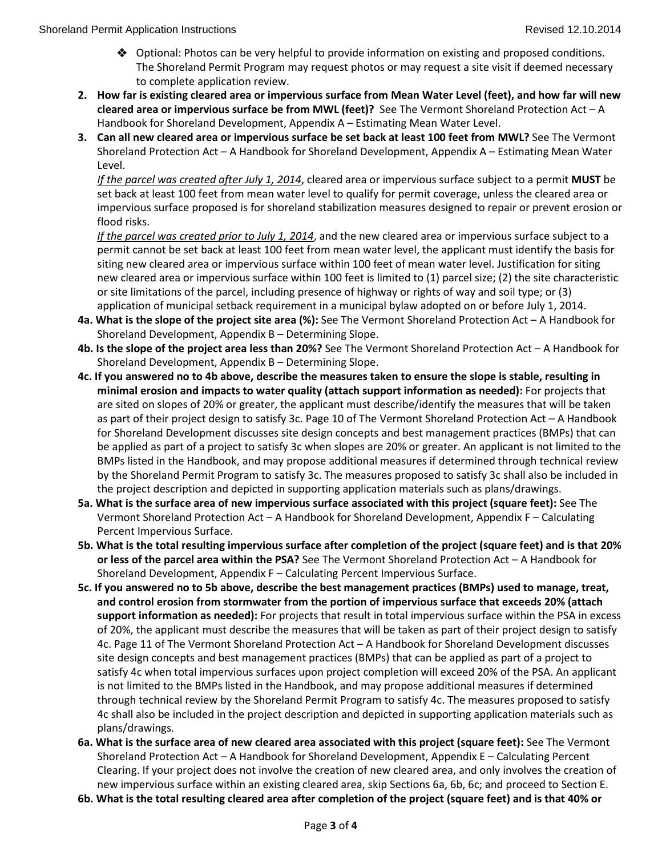- Optional: Photos can be very helpful to provide information on existing and proposed conditions. The Shoreland Permit Program may request photos or may request a site visit if deemed necessary to complete application review.
- **2. How far is existing cleared area or impervious surface from Mean Water Level (feet), and how far will new cleared area or impervious surface be from MWL (feet)?** See The Vermont Shoreland Protection Act – A Handbook for Shoreland Development, Appendix A – Estimating Mean Water Level.
- **3. Can all new cleared area or impervious surface be set back at least 100 feet from MWL?** See The Vermont Shoreland Protection Act – A Handbook for Shoreland Development, Appendix A – Estimating Mean Water Level.

*If the parcel was created after July 1, 2014*, cleared area or impervious surface subject to a permit **MUST** be set back at least 100 feet from mean water level to qualify for permit coverage, unless the cleared area or impervious surface proposed is for shoreland stabilization measures designed to repair or prevent erosion or flood risks.

*If the parcel was created prior to July 1, 2014*, and the new cleared area or impervious surface subject to a permit cannot be set back at least 100 feet from mean water level, the applicant must identify the basis for siting new cleared area or impervious surface within 100 feet of mean water level. Justification for siting new cleared area or impervious surface within 100 feet is limited to (1) parcel size; (2) the site characteristic or site limitations of the parcel, including presence of highway or rights of way and soil type; or (3) application of municipal setback requirement in a municipal bylaw adopted on or before July 1, 2014.

- **4a. What is the slope of the project site area (%):** See The Vermont Shoreland Protection Act A Handbook for Shoreland Development, Appendix B – Determining Slope.
- **4b. Is the slope of the project area less than 20%?** See The Vermont Shoreland Protection Act A Handbook for Shoreland Development, Appendix B – Determining Slope.
- **4c. If you answered no to 4b above, describe the measures taken to ensure the slope is stable, resulting in minimal erosion and impacts to water quality (attach support information as needed):** For projects that are sited on slopes of 20% or greater, the applicant must describe/identify the measures that will be taken as part of their project design to satisfy 3c. Page 10 of The Vermont Shoreland Protection Act – A Handbook for Shoreland Development discusses site design concepts and best management practices (BMPs) that can be applied as part of a project to satisfy 3c when slopes are 20% or greater. An applicant is not limited to the BMPs listed in the Handbook, and may propose additional measures if determined through technical review by the Shoreland Permit Program to satisfy 3c. The measures proposed to satisfy 3c shall also be included in the project description and depicted in supporting application materials such as plans/drawings.
- **5a. What is the surface area of new impervious surface associated with this project (square feet):** See The Vermont Shoreland Protection Act – A Handbook for Shoreland Development, Appendix F – Calculating Percent Impervious Surface.
- **5b. What is the total resulting impervious surface after completion of the project (square feet) and is that 20% or less of the parcel area within the PSA?** See The Vermont Shoreland Protection Act – A Handbook for Shoreland Development, Appendix F – Calculating Percent Impervious Surface.
- **5c. If you answered no to 5b above, describe the best management practices (BMPs) used to manage, treat, and control erosion from stormwater from the portion of impervious surface that exceeds 20% (attach support information as needed):** For projects that result in total impervious surface within the PSA in excess of 20%, the applicant must describe the measures that will be taken as part of their project design to satisfy 4c. Page 11 of The Vermont Shoreland Protection Act – A Handbook for Shoreland Development discusses site design concepts and best management practices (BMPs) that can be applied as part of a project to satisfy 4c when total impervious surfaces upon project completion will exceed 20% of the PSA. An applicant is not limited to the BMPs listed in the Handbook, and may propose additional measures if determined through technical review by the Shoreland Permit Program to satisfy 4c. The measures proposed to satisfy 4c shall also be included in the project description and depicted in supporting application materials such as plans/drawings.
- **6a. What is the surface area of new cleared area associated with this project (square feet):** See The Vermont Shoreland Protection Act – A Handbook for Shoreland Development, Appendix E – Calculating Percent Clearing. If your project does not involve the creation of new cleared area, and only involves the creation of new impervious surface within an existing cleared area, skip Sections 6a, 6b, 6c; and proceed to Section E.
- **6b. What is the total resulting cleared area after completion of the project (square feet) and is that 40% or**